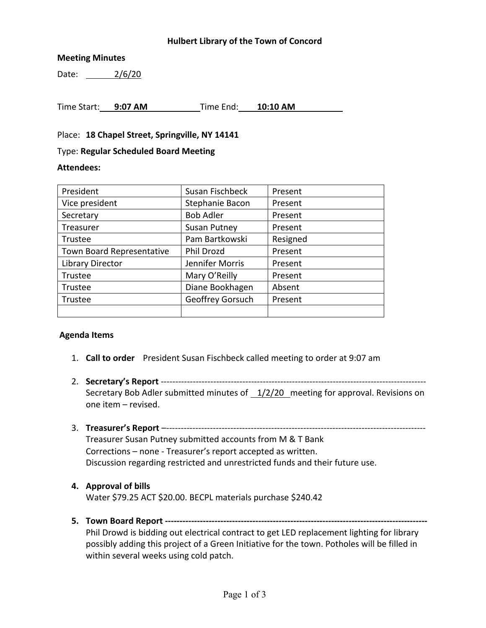# **Hulbert Library of the Town of Concord**

# **Meeting Minutes**

Date: 2/6/20

Time Start: **9:07 AM** Time End: **10:10 AM**

Place: **18 Chapel Street, Springville, NY 14141**

#### Type: **Regular Scheduled Board Meeting**

#### **Attendees:**

| President                 | Susan Fischbeck     | Present  |
|---------------------------|---------------------|----------|
| Vice president            | Stephanie Bacon     | Present  |
| Secretary                 | <b>Bob Adler</b>    | Present  |
| <b>Treasurer</b>          | <b>Susan Putney</b> | Present  |
| Trustee                   | Pam Bartkowski      | Resigned |
| Town Board Representative | Phil Drozd          | Present  |
| Library Director          | Jennifer Morris     | Present  |
| Trustee                   | Mary O'Reilly       | Present  |
| Trustee                   | Diane Bookhagen     | Absent   |
| Trustee                   | Geoffrey Gorsuch    | Present  |
|                           |                     |          |

#### **Agenda Items**

- 1. **Call to order** President Susan Fischbeck called meeting to order at 9:07 am
- 2. **Secretary's Report** ------------------------------------------------------------------------------------------- Secretary Bob Adler submitted minutes of 1/2/20 meeting for approval. Revisions on one item – revised.
- 3. **Treasurer's Report** –----------------------------------------------------------------------------------------- Treasurer Susan Putney submitted accounts from M & T Bank Corrections – none - Treasurer's report accepted as written. Discussion regarding restricted and unrestricted funds and their future use.

#### **4. Approval of bills**

Water \$79.25 ACT \$20.00. BECPL materials purchase \$240.42

**5. Town Board Report ------------------------------------------------------------------------------------------**

Phil Drowd is bidding out electrical contract to get LED replacement lighting for library possibly adding this project of a Green Initiative for the town. Potholes will be filled in within several weeks using cold patch.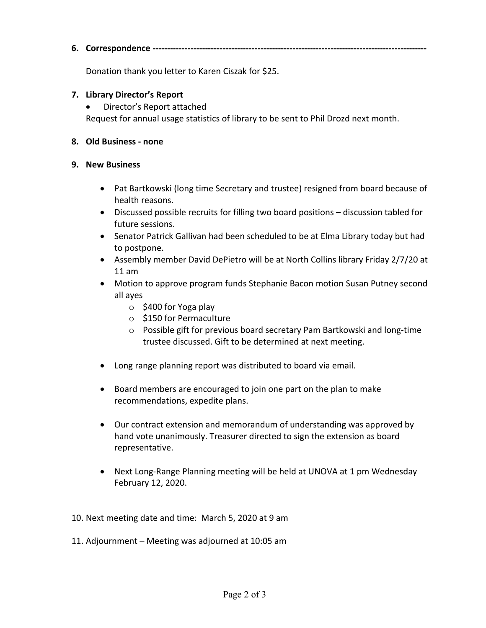**6. Correspondence ----------------------------------------------------------------------------------------------**

Donation thank you letter to Karen Ciszak for \$25.

# **7. Library Director's Report**

• Director's Report attached Request for annual usage statistics of library to be sent to Phil Drozd next month.

## **8. Old Business - none**

## **9. New Business**

- Pat Bartkowski (long time Secretary and trustee) resigned from board because of health reasons.
- Discussed possible recruits for filling two board positions discussion tabled for future sessions.
- Senator Patrick Gallivan had been scheduled to be at Elma Library today but had to postpone.
- Assembly member David DePietro will be at North Collins library Friday 2/7/20 at 11 am
- Motion to approve program funds Stephanie Bacon motion Susan Putney second all ayes
	- $\circ$  \$400 for Yoga play
	- o \$150 for Permaculture
	- o Possible gift for previous board secretary Pam Bartkowski and long-time trustee discussed. Gift to be determined at next meeting.
- Long range planning report was distributed to board via email.
- Board members are encouraged to join one part on the plan to make recommendations, expedite plans.
- Our contract extension and memorandum of understanding was approved by hand vote unanimously. Treasurer directed to sign the extension as board representative.
- Next Long-Range Planning meeting will be held at UNOVA at 1 pm Wednesday February 12, 2020.
- 10. Next meeting date and time: March 5, 2020 at 9 am
- 11. Adjournment Meeting was adjourned at 10:05 am